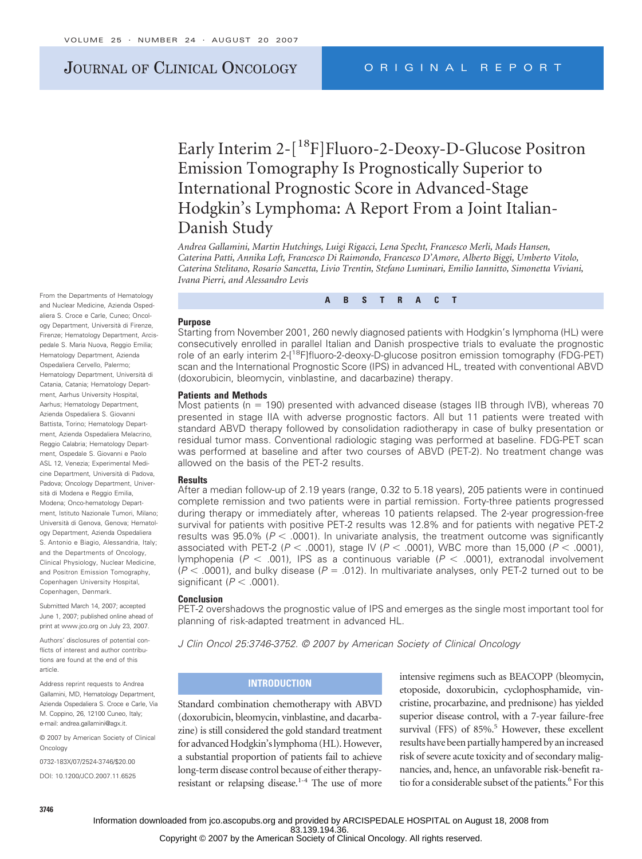# JOURNAL OF CLINICAL ONCOLOGY ORIGINAL REPORT

Early Interim 2-[18F]Fluoro-2-Deoxy-D-Glucose Positron Emission Tomography Is Prognostically Superior to International Prognostic Score in Advanced-Stage Hodgkin's Lymphoma: A Report From a Joint Italian-Danish Study

*Andrea Gallamini, Martin Hutchings, Luigi Rigacci, Lena Specht, Francesco Merli, Mads Hansen, Caterina Patti, Annika Loft, Francesco Di Raimondo, Francesco D'Amore, Alberto Biggi, Umberto Vitolo, Caterina Stelitano, Rosario Sancetta, Livio Trentin, Stefano Luminari, Emilio Iannitto, Simonetta Viviani, Ivana Pierri, and Alessandro Levis*

**ABSTRACT**

#### **Purpose**

Starting from November 2001, 260 newly diagnosed patients with Hodgkin's lymphoma (HL) were consecutively enrolled in parallel Italian and Danish prospective trials to evaluate the prognostic role of an early interim 2-[<sup>18</sup>F]fluoro-2-deoxy-D-glucose positron emission tomography (FDG-PET) scan and the International Prognostic Score (IPS) in advanced HL, treated with conventional ABVD (doxorubicin, bleomycin, vinblastine, and dacarbazine) therapy.

#### **Patients and Methods**

Most patients ( $n = 190$ ) presented with advanced disease (stages IIB through IVB), whereas 70 presented in stage IIA with adverse prognostic factors. All but 11 patients were treated with standard ABVD therapy followed by consolidation radiotherapy in case of bulky presentation or residual tumor mass. Conventional radiologic staging was performed at baseline. FDG-PET scan was performed at baseline and after two courses of ABVD (PET-2). No treatment change was allowed on the basis of the PET-2 results.

#### **Results**

After a median follow-up of 2.19 years (range, 0.32 to 5.18 years), 205 patients were in continued complete remission and two patients were in partial remission. Forty-three patients progressed during therapy or immediately after, whereas 10 patients relapsed. The 2-year progression-free survival for patients with positive PET-2 results was 12.8% and for patients with negative PET-2 results was 95.0% (P < .0001). In univariate analysis, the treatment outcome was significantly associated with PET-2 (*P < .*0001), stage IV (*P < .*0001), WBC more than 15,000 (*P < .*0001), lymphopenia ( $P < .001$ ), IPS as a continuous variable ( $P < .0001$ ), extranodal involvement  $(P < .0001)$ , and bulky disease  $(P = .012)$ . In multivariate analyses, only PET-2 turned out to be significant  $(P < .0001)$ .

#### **Conclusion**

PET-2 overshadows the prognostic value of IPS and emerges as the single most important tool for planning of risk-adapted treatment in advanced HL.

*J Clin Oncol 25:3746-3752. © 2007 by American Society of Clinical Oncology*

### **INTRODUCTION**

Standard combination chemotherapy with ABVD (doxorubicin, bleomycin, vinblastine, and dacarbazine) is still considered the gold standard treatment for advanced Hodgkin's lymphoma (HL). However, a substantial proportion of patients fail to achieve long-term disease control because of either therapyresistant or relapsing disease.<sup>1-4</sup> The use of more intensive regimens such as BEACOPP (bleomycin, etoposide, doxorubicin, cyclophosphamide, vincristine, procarbazine, and prednisone) has yielded superior disease control, with a 7-year failure-free survival (FFS) of  $85\%$ <sup>5</sup> However, these excellent results have been partially hampered by an increased risk of severe acute toxicity and of secondary malignancies, and, hence, an unfavorable risk-benefit ratio for a considerable subset of the patients.<sup>6</sup> For this

From the Departments of Hematology and Nuclear Medicine, Azienda Ospedaliera S. Croce e Carle, Cuneo; Oncology Department, Università di Firenze Firenze; Hematology Department, Arcispedale S. Maria Nuova, Reggio Emilia; Hematology Department, Azienda Ospedaliera Cervello, Palermo; Hematology Department, Università di Catania, Catania; Hematology Department, Aarhus University Hospital, Aarhus; Hematology Department, Azienda Ospedaliera S. Giovanni Battista, Torino; Hematology Department, Azienda Ospedaliera Melacrino, Reggio Calabria; Hematology Department, Ospedale S. Giovanni e Paolo ASL 12, Venezia; Experimental Medicine Department, Università di Padova, Padova; Oncology Department, Università di Modena e Reggio Emilia, Modena; Onco-hematology Department, Istituto Nazionale Tumori, Milano; Universita` di Genova, Genova; Hematology Department, Azienda Ospedaliera S. Antonio e Biagio, Alessandria, Italy; and the Departments of Oncology, Clinical Physiology, Nuclear Medicine, and Positron Emission Tomography, Copenhagen University Hospital, Copenhagen, Denmark.

Submitted March 14, 2007; accepted June 1, 2007; published online ahead of print at www.jco.org on July 23, 2007.

Authors' disclosures of potential conflicts of interest and author contributions are found at the end of this article.

Address reprint requests to Andrea Gallamini, MD, Hematology Department, Azienda Ospedaliera S. Croce e Carle, Via M. Coppino, 26, 12100 Cuneo, Italy; e-mail: andrea.gallamini@agx.it.

© 2007 by American Society of Clinical Oncology

0732-183X/07/2524-3746/\$20.00

DOI: 10.1200/JCO.2007.11.6525

83.139.194.36. Information downloaded from jco.ascopubs.org and provided by ARCISPEDALE HOSPITAL on August 18, 2008 from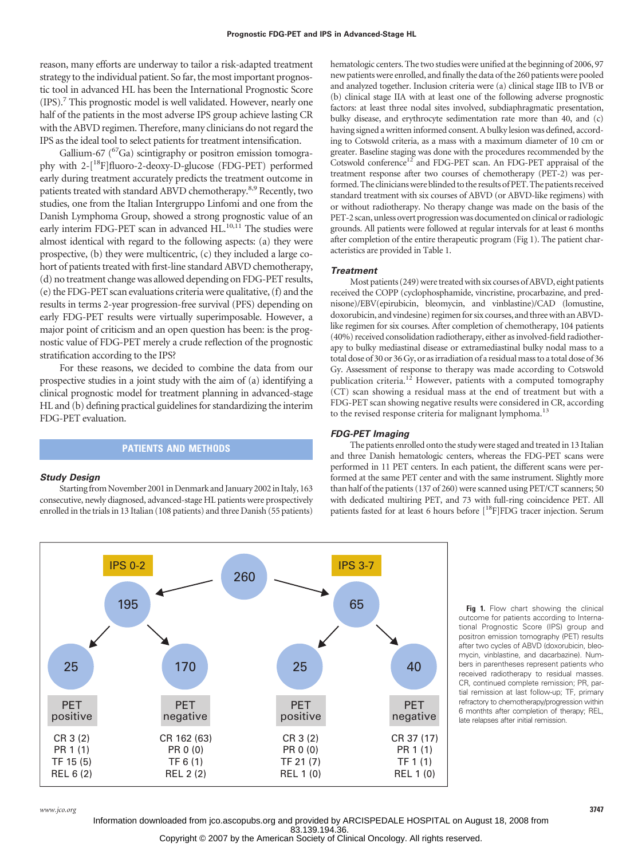reason, many efforts are underway to tailor a risk-adapted treatment strategy to the individual patient. So far, the most important prognostic tool in advanced HL has been the International Prognostic Score (IPS).7 This prognostic model is well validated. However, nearly one half of the patients in the most adverse IPS group achieve lasting CR with the ABVD regimen. Therefore, many clinicians do not regard the IPS as the ideal tool to select patients for treatment intensification.

Gallium-67 ( ${}^{67}$ Ga) scintigraphy or positron emission tomography with 2-[18F]fluoro-2-deoxy-D-glucose (FDG-PET) performed early during treatment accurately predicts the treatment outcome in patients treated with standard ABVD chemotherapy.<sup>8,9</sup> Recently, two studies, one from the Italian Intergruppo Linfomi and one from the Danish Lymphoma Group, showed a strong prognostic value of an early interim FDG-PET scan in advanced HL.<sup>10,11</sup> The studies were almost identical with regard to the following aspects: (a) they were prospective, (b) they were multicentric, (c) they included a large cohort of patients treated with first-line standard ABVD chemotherapy, (d) no treatment change was allowed depending on FDG-PET results, (e) the FDG-PET scan evaluations criteria were qualitative, (f) and the results in terms 2-year progression-free survival (PFS) depending on early FDG-PET results were virtually superimposable. However, a major point of criticism and an open question has been: is the prognostic value of FDG-PET merely a crude reflection of the prognostic stratification according to the IPS?

For these reasons, we decided to combine the data from our prospective studies in a joint study with the aim of (a) identifying a clinical prognostic model for treatment planning in advanced-stage HL and (b) defining practical guidelines for standardizing the interim FDG-PET evaluation.

### **PATIENTS AND METHODS**

#### *Study Design*

Starting from November 2001 in Denmark and January 2002 in Italy, 163 consecutive, newly diagnosed, advanced-stage HL patients were prospectively enrolled in the trials in 13 Italian (108 patients) and three Danish (55 patients) hematologic centers. The two studies were unified at the beginning of 2006, 97 new patients were enrolled, and finally the data of the 260 patients were pooled and analyzed together. Inclusion criteria were (a) clinical stage IIB to IVB or (b) clinical stage IIA with at least one of the following adverse prognostic factors: at least three nodal sites involved, subdiaphragmatic presentation, bulky disease, and erythrocyte sedimentation rate more than 40, and (c) having signed a written informed consent. A bulky lesion was defined, according to Cotswold criteria, as a mass with a maximum diameter of 10 cm or greater. Baseline staging was done with the procedures recommended by the Cotswold conference<sup>12</sup> and FDG-PET scan. An FDG-PET appraisal of the treatment response after two courses of chemotherapy (PET-2) was performed. The clinicians were blinded to the results of PET. The patients received standard treatment with six courses of ABVD (or ABVD-like regimens) with or without radiotherapy. No therapy change was made on the basis of the PET-2 scan, unless overt progression was documented on clinical or radiologic grounds. All patients were followed at regular intervals for at least 6 months after completion of the entire therapeutic program (Fig 1). The patient characteristics are provided in Table 1.

#### *Treatment*

Most patients (249) were treated with six courses of ABVD, eight patients received the COPP (cyclophosphamide, vincristine, procarbazine, and prednisone)/EBV(epirubicin, bleomycin, and vinblastine)/CAD (lomustine, doxorubicin, and vindesine) regimen for six courses, and three with an ABVDlike regimen for six courses. After completion of chemotherapy, 104 patients (40%) received consolidation radiotherapy, either as involved-field radiotherapy to bulky mediastinal disease or extramediastinal bulky nodal mass to a total dose of 30 or 36 Gy, or as irradiation of a residual mass to a total dose of 36 Gy. Assessment of response to therapy was made according to Cotswold publication criteria.<sup>12</sup> However, patients with a computed tomography (CT) scan showing a residual mass at the end of treatment but with a FDG-PET scan showing negative results were considered in CR, according to the revised response criteria for malignant lymphoma.<sup>13</sup>

#### *FDG-PET Imaging*

The patients enrolled onto the study were staged and treated in 13 Italian and three Danish hematologic centers, whereas the FDG-PET scans were performed in 11 PET centers. In each patient, the different scans were performed at the same PET center and with the same instrument. Slightly more than half of the patients (137 of 260) were scanned using PET/CT scanners; 50 with dedicated multiring PET, and 73 with full-ring coincidence PET. All patients fasted for at least 6 hours before [<sup>18</sup>F]FDG tracer injection. Serum



Fig 1. Flow chart showing the clinical outcome for patients according to International Prognostic Score (IPS) group and positron emission tomography (PET) results after two cycles of ABVD (doxorubicin, bleomycin, vinblastine, and dacarbazine). Numbers in parentheses represent patients who received radiotherapy to residual masses. CR, continued complete remission; PR, partial remission at last follow-up; TF, primary refractory to chemotherapy/progression within 6 monthts after completion of therapy; REL, late relapses after initial remission.

*www.jco.org* **3747**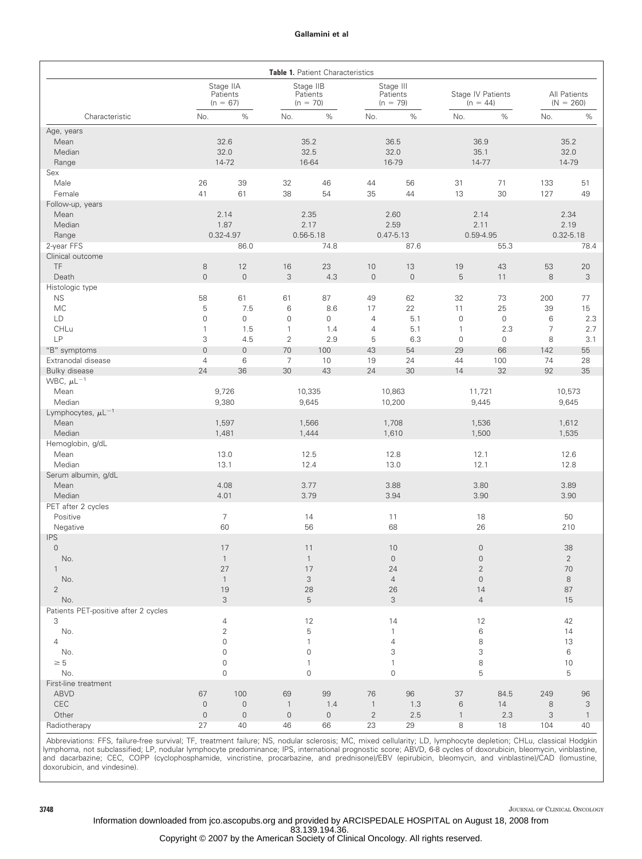#### **Gallamini et al**

|                                                                                              |                                        |                                                                              |                                                                 | Table 1. Patient Characteristics                |                                                   |                                                      |                                                        |                                                                                     |                                       |                                             |
|----------------------------------------------------------------------------------------------|----------------------------------------|------------------------------------------------------------------------------|-----------------------------------------------------------------|-------------------------------------------------|---------------------------------------------------|------------------------------------------------------|--------------------------------------------------------|-------------------------------------------------------------------------------------|---------------------------------------|---------------------------------------------|
|                                                                                              | Stage IIA<br>Patients<br>$(n = 67)$    |                                                                              | Stage IIB<br>Patients<br>$(n = 70)$                             |                                                 | Stage III<br>Patients<br>$(n = 79)$               |                                                      | Stage IV Patients<br>$(n = 44)$                        |                                                                                     | All Patients<br>$(N = 260)$           |                                             |
| Characteristic                                                                               | No.                                    | $\%$                                                                         | No.                                                             | $\%$                                            | No.                                               | $\%$                                                 | No.                                                    | $\%$                                                                                | No.                                   | %                                           |
| Age, years<br>Mean<br>Median<br>Range                                                        |                                        | 32.6<br>32.0<br>14-72                                                        |                                                                 | 35.2<br>32.5<br>16-64                           |                                                   | 36.5<br>32.0<br>16-79                                |                                                        | 36.9<br>35.1<br>14-77                                                               |                                       | 35.2<br>32.0<br>14-79                       |
| Sex<br>Male<br>Female                                                                        | 26<br>41                               | 39<br>61                                                                     | 32<br>38                                                        | 46<br>54                                        | 44<br>35                                          | 56<br>44                                             | 31<br>13                                               | 71<br>30                                                                            | 133<br>127                            | 51<br>49                                    |
| Follow-up, years<br>Mean<br>Median<br>Range<br>2-year FFS                                    |                                        | 2.14<br>1.87<br>$0.32 - 4.97$<br>86.0                                        |                                                                 | 2.35<br>2.17<br>$0.56 - 5.18$<br>74.8           |                                                   | 2.60<br>2.59<br>$0.47 - 5.13$<br>87.6                |                                                        | 2.14<br>2.11<br>$0.59 - 4.95$<br>55.3                                               |                                       | 2.34<br>2.19<br>$0.32 - 5.18$<br>78.4       |
| Clinical outcome<br><b>TF</b><br>Death                                                       | 8<br>$\overline{0}$                    | 12<br>$\mathbb O$                                                            | 16<br>3                                                         | 23<br>4.3                                       | 10<br>$\mathsf{O}$                                | 13<br>$\mathbf{0}$                                   | 19<br>5                                                | 43<br>11                                                                            | 53<br>8                               | 20<br>3                                     |
| Histologic type<br><b>NS</b><br>MC<br>LD<br>CHLu<br>LP                                       | 58<br>5<br>0<br>$\mathbf{1}$<br>3      | 61<br>7.5<br>$\mathbf 0$<br>1.5<br>4.5                                       | 61<br>$6\,$<br>$\overline{0}$<br>$\mathbf{1}$<br>$\overline{2}$ | 87<br>8.6<br>$\mathbf 0$<br>1.4<br>2.9          | 49<br>17<br>$\overline{4}$<br>$\overline{4}$<br>5 | 62<br>22<br>5.1<br>5.1<br>6.3                        | 32<br>11<br>$\mathbf 0$<br>$\mathbf{1}$<br>$\mathbf 0$ | 73<br>25<br>$\mathbf 0$<br>2.3<br>$\mathsf{O}\xspace$                               | 200<br>39<br>6<br>$\overline{7}$<br>8 | 77<br>15<br>2.3<br>2.7<br>3.1               |
| "B" symptoms                                                                                 | $\mathbf 0$                            | $\mathbf{0}$                                                                 | 70                                                              | 100                                             | 43                                                | 54                                                   | 29                                                     | 66                                                                                  | 142                                   | 55                                          |
| Extranodal disease<br>Bulky disease                                                          | $\overline{4}$<br>24                   | $6\,$<br>36                                                                  | $\overline{7}$<br>30                                            | 10<br>43                                        | 19<br>24                                          | 24<br>30                                             | 44<br>14                                               | 100<br>32                                                                           | 74<br>92                              | 28<br>35                                    |
| WBC, $\mu L^{-1}$<br>Mean<br>Median                                                          |                                        | 9,726<br>9,380                                                               |                                                                 | 10,335<br>9,645                                 |                                                   | 10,863<br>10,200                                     |                                                        | 11,721<br>9,445                                                                     |                                       | 10,573<br>9,645                             |
| Lymphocytes, $\mu L^{-1}$<br>Mean<br>Median                                                  |                                        | 1,597<br>1,481                                                               |                                                                 | 1,566<br>1,444                                  |                                                   | 1,708<br>1,610                                       |                                                        | 1,536<br>1,500                                                                      |                                       | 1,612<br>1,535                              |
| Hemoglobin, g/dL<br>Mean<br>Median                                                           |                                        | 13.0<br>13.1                                                                 |                                                                 | 12.5<br>12.4                                    |                                                   | 12.8<br>13.0                                         |                                                        | 12.1<br>12.1                                                                        |                                       | 12.6<br>12.8                                |
| Serum albumin, g/dL<br>Mean<br>Median                                                        |                                        | 4.08<br>4.01                                                                 |                                                                 | 3.77<br>3.79                                    |                                                   | 3.88<br>3.94                                         |                                                        | 3.80<br>3.90                                                                        |                                       | 3.89<br>3.90                                |
| PET after 2 cycles<br>Positive<br>Negative                                                   |                                        | $\overline{7}$<br>60                                                         |                                                                 | 14<br>56                                        |                                                   | 11<br>68                                             |                                                        | 18<br>26                                                                            |                                       | 50<br>210                                   |
| <b>IPS</b><br>$\overline{0}$<br>No.<br>$\mathbf{1}$<br>No.<br>$\overline{2}$<br>No.          |                                        | 17<br>$\mathbf{1}$<br>27<br>$\mathbf{1}$<br>19<br>3                          |                                                                 | 11<br>$\mathbf{1}$<br>17<br>3<br>28<br>5        |                                                   | 10<br>$\mathbf 0$<br>24<br>$\overline{4}$<br>26<br>3 |                                                        | $\mathbf 0$<br>$\mathbf 0$<br>$\overline{2}$<br>$\mathbf 0$<br>14<br>$\overline{4}$ |                                       | 38<br>$\overline{2}$<br>70<br>8<br>87<br>15 |
| Patients PET-positive after 2 cycles<br>3<br>No.<br>$\overline{4}$<br>No.<br>$\geq 5$<br>No. |                                        | $\overline{4}$<br>$\overline{2}$<br>$\overline{0}$<br>0<br>0<br>$\mathbf{0}$ |                                                                 | 12<br>5<br>1<br>$\mathbf 0$<br>1<br>$\mathbf 0$ |                                                   | 14<br>$\mathbf{1}$<br>4<br>3<br>1<br>$\mathbf 0$     |                                                        | 12<br>6<br>8<br>3<br>8<br>5                                                         |                                       | 42<br>14<br>13<br>6<br>10<br>5              |
| First-line treatment<br><b>ABVD</b><br>CEC<br>Other<br>Radiotherapy                          | 67<br>$\mathbf 0$<br>$\mathbf 0$<br>27 | 100<br>$\mathbb O$<br>$\mathbb O$<br>40                                      | 69<br>$\mathbf{1}$<br>$\mathbb O$<br>46                         | 99<br>1.4<br>$\mathsf{O}\xspace$<br>66          | 76<br>$\mathbf{1}$<br>$\overline{2}$<br>23        | 96<br>1.3<br>2.5<br>29                               | 37<br>6<br>$\mathbf{1}$<br>8                           | 84.5<br>14<br>2.3<br>18                                                             | 249<br>8<br>3<br>104                  | 96<br>3<br>$\overline{1}$<br>40             |

Abbreviations: FFS, failure-free survival; TF, treatment failure; NS, nodular sclerosis; MC, mixed cellularity; LD, lymphocyte depletion; CHLu, classical Hodgkin lymphoma, not subclassified; LP, nodular lymphocyte predominance; IPS, international prognostic score; ABVD, 6-8 cycles of doxorubicin, bleomycin, vinblastine, and dacarbazine; CEC, COPP (cyclophosphamide, vincristine, procarbazine, and prednisone)/EBV (epirubicin, bleomycin, and vinblastine)/CAD (lomustine, doxorubicin, and vindesine).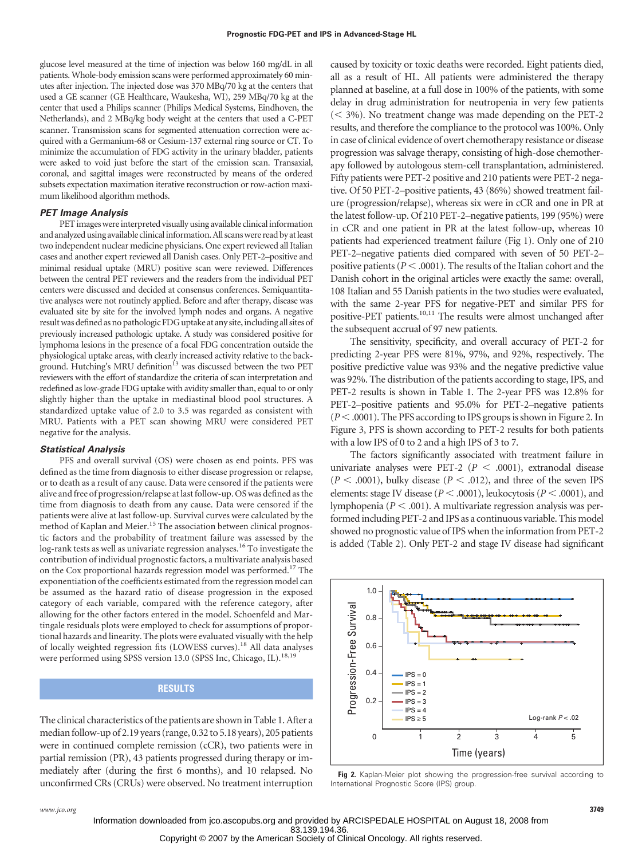glucose level measured at the time of injection was below 160 mg/dL in all patients. Whole-body emission scans were performed approximately 60 minutes after injection. The injected dose was 370 MBq/70 kg at the centers that used a GE scanner (GE Healthcare, Waukesha, WI), 259 MBq/70 kg at the center that used a Philips scanner (Philips Medical Systems, Eindhoven, the Netherlands), and 2 MBq/kg body weight at the centers that used a C-PET scanner. Transmission scans for segmented attenuation correction were acquired with a Germanium-68 or Cesium-137 external ring source or CT. To minimize the accumulation of FDG activity in the urinary bladder, patients were asked to void just before the start of the emission scan. Transaxial, coronal, and sagittal images were reconstructed by means of the ordered subsets expectation maximation iterative reconstruction or row-action maximum likelihood algorithm methods.

#### *PET Image Analysis*

PET images were interpreted visually using available clinical information and analyzed using available clinical information. All scans were read by at least two independent nuclear medicine physicians. One expert reviewed all Italian cases and another expert reviewed all Danish cases. Only PET-2–positive and minimal residual uptake (MRU) positive scan were reviewed. Differences between the central PET reviewers and the readers from the individual PET centers were discussed and decided at consensus conferences. Semiquantitative analyses were not routinely applied. Before and after therapy, disease was evaluated site by site for the involved lymph nodes and organs. A negative result was defined as no pathologic FDG uptake at any site, including all sites of previously increased pathologic uptake. A study was considered positive for lymphoma lesions in the presence of a focal FDG concentration outside the physiological uptake areas, with clearly increased activity relative to the background. Hutching's MRU definition<sup>13</sup> was discussed between the two PET reviewers with the effort of standardize the criteria of scan interpretation and redefined as low-grade FDG uptake with avidity smaller than, equal to or only slightly higher than the uptake in mediastinal blood pool structures. A standardized uptake value of 2.0 to 3.5 was regarded as consistent with MRU. Patients with a PET scan showing MRU were considered PET negative for the analysis.

#### *Statistical Analysis*

PFS and overall survival (OS) were chosen as end points. PFS was defined as the time from diagnosis to either disease progression or relapse, or to death as a result of any cause. Data were censored if the patients were alive and free of progression/relapse at last follow-up. OS was defined as the time from diagnosis to death from any cause. Data were censored if the patients were alive at last follow-up. Survival curves were calculated by the method of Kaplan and Meier.<sup>15</sup> The association between clinical prognostic factors and the probability of treatment failure was assessed by the log-rank tests as well as univariate regression analyses.<sup>16</sup> To investigate the contribution of individual prognostic factors, a multivariate analysis based on the Cox proportional hazards regression model was performed.17 The exponentiation of the coefficients estimated from the regression model can be assumed as the hazard ratio of disease progression in the exposed category of each variable, compared with the reference category, after allowing for the other factors entered in the model. Schoenfeld and Martingale residuals plots were employed to check for assumptions of proportional hazards and linearity. The plots were evaluated visually with the help of locally weighted regression fits (LOWESS curves).<sup>18</sup> All data analyses were performed using SPSS version 13.0 (SPSS Inc, Chicago, IL).<sup>18,19</sup>

### **RESULTS**

The clinical characteristics of the patients are shown in Table 1. After a median follow-up of 2.19 years (range, 0.32 to 5.18 years), 205 patients were in continued complete remission (cCR), two patients were in partial remission (PR), 43 patients progressed during therapy or immediately after (during the first 6 months), and 10 relapsed. No unconfirmed CRs (CRUs) were observed. No treatment interruption caused by toxicity or toxic deaths were recorded. Eight patients died, all as a result of HL. All patients were administered the therapy planned at baseline, at a full dose in 100% of the patients, with some delay in drug administration for neutropenia in very few patients  $(<$  3%). No treatment change was made depending on the PET-2 results, and therefore the compliance to the protocol was 100%. Only in case of clinical evidence of overt chemotherapy resistance or disease progression was salvage therapy, consisting of high-dose chemotherapy followed by autologous stem-cell transplantation, administered. Fifty patients were PET-2 positive and 210 patients were PET-2 negative. Of 50 PET-2–positive patients, 43 (86%) showed treatment failure (progression/relapse), whereas six were in cCR and one in PR at the latest follow-up. Of 210 PET-2–negative patients, 199 (95%) were in cCR and one patient in PR at the latest follow-up, whereas 10 patients had experienced treatment failure (Fig 1). Only one of 210 PET-2–negative patients died compared with seven of 50 PET-2– positive patients ( $P < .0001$ ). The results of the Italian cohort and the Danish cohort in the original articles were exactly the same: overall, 108 Italian and 55 Danish patients in the two studies were evaluated, with the same 2-year PFS for negative-PET and similar PFS for positive-PET patients.<sup>10,11</sup> The results were almost unchanged after the subsequent accrual of 97 new patients.

The sensitivity, specificity, and overall accuracy of PET-2 for predicting 2-year PFS were 81%, 97%, and 92%, respectively. The positive predictive value was 93% and the negative predictive value was 92%. The distribution of the patients according to stage, IPS, and PET-2 results is shown in Table 1. The 2-year PFS was 12.8% for PET-2–positive patients and 95.0% for PET-2–negative patients (*P* - .0001). The PFS according to IPS groups is shown in Figure 2. In Figure 3, PFS is shown according to PET-2 results for both patients with a low IPS of 0 to 2 and a high IPS of 3 to 7.

The factors significantly associated with treatment failure in univariate analyses were PET-2  $(P < .0001)$ , extranodal disease  $(P < .0001)$ , bulky disease  $(P < .012)$ , and three of the seven IPS elements: stage IV disease ( $P < .0001$ ), leukocytosis ( $P < .0001$ ), and lymphopenia ( $P < .001$ ). A multivariate regression analysis was performed including PET-2 and IPS as a continuous variable. This model showed no prognostic value of IPS when the information from PET-2 is added (Table 2). Only PET-2 and stage IV disease had significant



**Fig 2.** Kaplan-Meier plot showing the progression-free survival according to International Prognostic Score (IPS) group.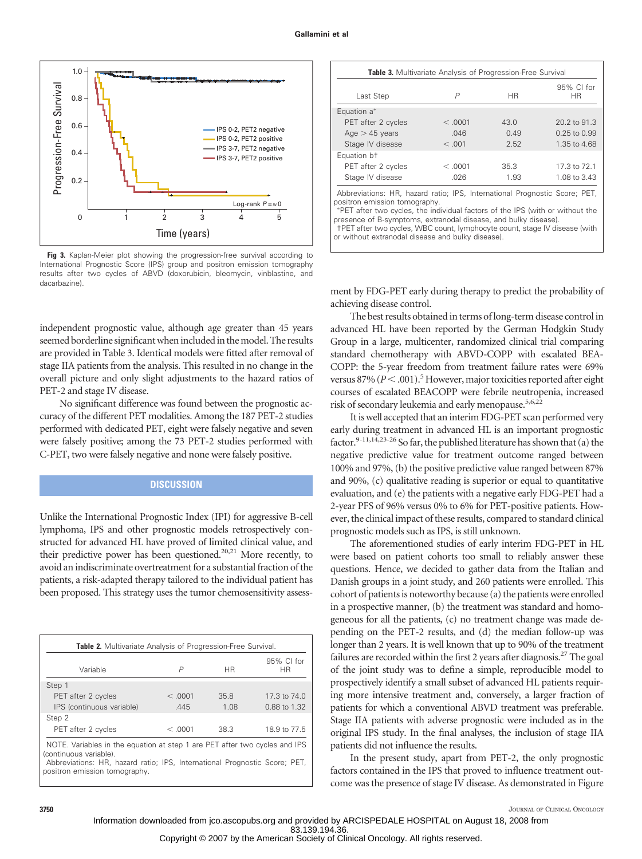

**Fig 3.** Kaplan-Meier plot showing the progression-free survival according to International Prognostic Score (IPS) group and positron emission tomography results after two cycles of ABVD (doxorubicin, bleomycin, vinblastine, and dacarbazine).

independent prognostic value, although age greater than 45 years seemed borderline significant when included in the model. The results are provided in Table 3. Identical models were fitted after removal of stage IIA patients from the analysis. This resulted in no change in the overall picture and only slight adjustments to the hazard ratios of PET-2 and stage IV disease.

No significant difference was found between the prognostic accuracy of the different PET modalities. Among the 187 PET-2 studies performed with dedicated PET, eight were falsely negative and seven were falsely positive; among the 73 PET-2 studies performed with C-PET, two were falsely negative and none were falsely positive.

### **DISCUSSION**

Unlike the International Prognostic Index (IPI) for aggressive B-cell lymphoma, IPS and other prognostic models retrospectively constructed for advanced HL have proved of limited clinical value, and their predictive power has been questioned.20,21 More recently, to avoid an indiscriminate overtreatment for a substantial fraction of the patients, a risk-adapted therapy tailored to the individual patient has been proposed. This strategy uses the tumor chemosensitivity assess-

| Variable                                                                                                                                                                                                            |         | НR   | 95% CI for<br>HR |
|---------------------------------------------------------------------------------------------------------------------------------------------------------------------------------------------------------------------|---------|------|------------------|
| Step 1                                                                                                                                                                                                              |         |      |                  |
| PET after 2 cycles                                                                                                                                                                                                  | < .0001 | 35.8 | 17.3 to 74.0     |
| IPS (continuous variable)                                                                                                                                                                                           | .445    | 1.08 | 0.88 to 1.32     |
| Step 2                                                                                                                                                                                                              |         |      |                  |
| PET after 2 cycles                                                                                                                                                                                                  | < 0.001 | 38.3 | 18.9 to 77.5     |
| NOTE. Variables in the equation at step 1 are PET after two cycles and IPS<br>(continuous variable).<br>Abbreviations: HR, hazard ratio; IPS, International Prognostic Score; PET,<br>positron emission tomography. |         |      |                  |

| Last Step          | P        | НR   | 95% CI for<br>НR |  |
|--------------------|----------|------|------------------|--|
| Equation a*        |          |      |                  |  |
| PET after 2 cycles | < 0.0001 | 43.0 | 20.2 to 91.3     |  |
| $Aqe > 45$ years   | .046     | 0.49 | 0.25 to 0.99     |  |
| Stage IV disease   | < .001   | 2.52 | 1.35 to 4.68     |  |
| Equation bt        |          |      |                  |  |
| PET after 2 cycles | < .0001  | 35.3 | 17.3 to 72.1     |  |
| Stage IV disease   | .026     | 1.93 | 1.08 to 3.43     |  |

 PET after two cycles, the individual factors of the IPS (with or without the presence of B-symptoms, extranodal disease, and bulky disease).

†PET after two cycles, WBC count, lymphocyte count, stage IV disease (with or without extranodal disease and bulky disease).

ment by FDG-PET early during therapy to predict the probability of achieving disease control.

The best results obtained in terms of long-term disease control in advanced HL have been reported by the German Hodgkin Study Group in a large, multicenter, randomized clinical trial comparing standard chemotherapy with ABVD-COPP with escalated BEA-COPP: the 5-year freedom from treatment failure rates were 69% versus 87% ( $P < .001$ ).<sup>5</sup> However, major toxicities reported after eight courses of escalated BEACOPP were febrile neutropenia, increased risk of secondary leukemia and early menopause.<sup>5,6,22</sup>

It is well accepted that an interim FDG-PET scan performed very early during treatment in advanced HL is an important prognostic factor.9-11,14,23-26 So far, the published literature has shown that (a) the negative predictive value for treatment outcome ranged between 100% and 97%, (b) the positive predictive value ranged between 87% and 90%, (c) qualitative reading is superior or equal to quantitative evaluation, and (e) the patients with a negative early FDG-PET had a 2-year PFS of 96% versus 0% to 6% for PET-positive patients. However, the clinical impact of these results, compared to standard clinical prognostic models such as IPS, is still unknown.

The aforementioned studies of early interim FDG-PET in HL were based on patient cohorts too small to reliably answer these questions. Hence, we decided to gather data from the Italian and Danish groups in a joint study, and 260 patients were enrolled. This cohort of patients is noteworthy because (a) the patients were enrolled in a prospective manner, (b) the treatment was standard and homogeneous for all the patients, (c) no treatment change was made depending on the PET-2 results, and (d) the median follow-up was longer than 2 years. It is well known that up to 90% of the treatment failures are recorded within the first 2 years after diagnosis.27 The goal of the joint study was to define a simple, reproducible model to prospectively identify a small subset of advanced HL patients requiring more intensive treatment and, conversely, a larger fraction of patients for which a conventional ABVD treatment was preferable. Stage IIA patients with adverse prognostic were included as in the original IPS study. In the final analyses, the inclusion of stage IIA patients did not influence the results.

In the present study, apart from PET-2, the only prognostic factors contained in the IPS that proved to influence treatment outcome was the presence of stage IV disease. As demonstrated in Figure

**3750** JOURNAL OF CLINICAL ONCOLOGY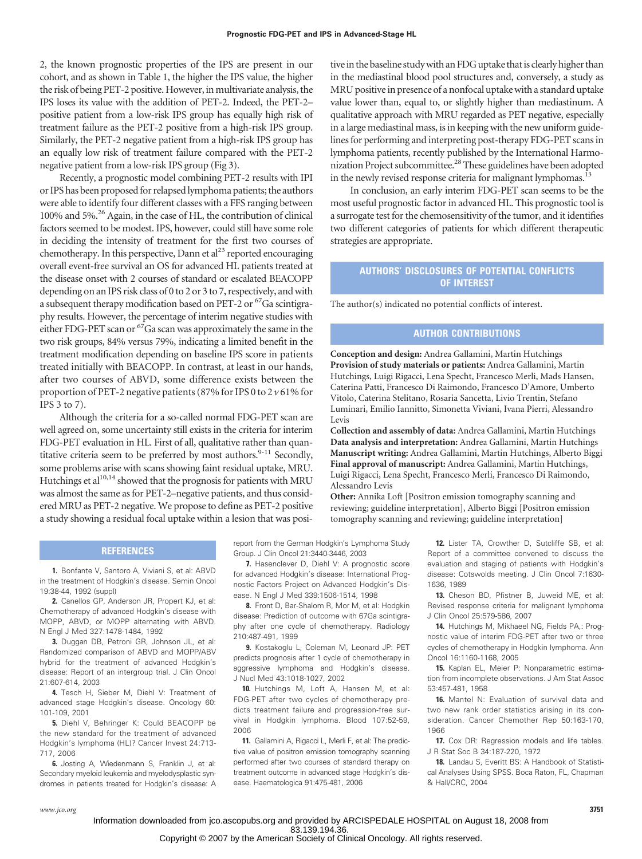2, the known prognostic properties of the IPS are present in our cohort, and as shown in Table 1, the higher the IPS value, the higher the risk of being PET-2 positive. However, in multivariate analysis, the IPS loses its value with the addition of PET-2. Indeed, the PET-2– positive patient from a low-risk IPS group has equally high risk of treatment failure as the PET-2 positive from a high-risk IPS group. Similarly, the PET-2 negative patient from a high-risk IPS group has an equally low risk of treatment failure compared with the PET-2 negative patient from a low-risk IPS group (Fig 3).

Recently, a prognostic model combining PET-2 results with IPI or IPS has been proposed for relapsed lymphoma patients; the authors were able to identify four different classes with a FFS ranging between 100% and 5%.26 Again, in the case of HL, the contribution of clinical factors seemed to be modest. IPS, however, could still have some role in deciding the intensity of treatment for the first two courses of chemotherapy. In this perspective, Dann et  $al^{23}$  reported encouraging overall event-free survival an OS for advanced HL patients treated at the disease onset with 2 courses of standard or escalated BEACOPP depending on an IPS risk class of 0 to 2 or 3 to 7, respectively, and with a subsequent therapy modification based on PET-2 or <sup>67</sup>Ga scintigraphy results. However, the percentage of interim negative studies with either FDG-PET scan or  ${}^{67}$ Ga scan was approximately the same in the two risk groups, 84% versus 79%, indicating a limited benefit in the treatment modification depending on baseline IPS score in patients treated initially with BEACOPP. In contrast, at least in our hands, after two courses of ABVD, some difference exists between the proportion of PET-2 negative patients (87% for IPS 0 to 2 *v* 61% for IPS 3 to 7).

Although the criteria for a so-called normal FDG-PET scan are well agreed on, some uncertainty still exists in the criteria for interim FDG-PET evaluation in HL. First of all, qualitative rather than quantitative criteria seem to be preferred by most authors.<sup>9-11</sup> Secondly, some problems arise with scans showing faint residual uptake, MRU. Hutchings et al<sup>10,14</sup> showed that the prognosis for patients with MRU was almost the same as for PET-2–negative patients, and thus considered MRU as PET-2 negative. We propose to define as PET-2 positive a study showing a residual focal uptake within a lesion that was posi-

### **REFERENCES**

**1.** Bonfante V, Santoro A, Viviani S, et al: ABVD in the treatment of Hodgkin's disease. Semin Oncol 19:38-44, 1992 (suppl)

**2.** Canellos GP, Anderson JR, Propert KJ, et al: Chemotherapy of advanced Hodgkin's disease with MOPP, ABVD, or MOPP alternating with ABVD. N Engl J Med 327:1478-1484, 1992

**3.** Duggan DB, Petroni GR, Johnson JL, et al: Randomized comparison of ABVD and MOPP/ABV hybrid for the treatment of advanced Hodgkin's disease: Report of an intergroup trial. J Clin Oncol 21:607-614, 2003

**4.** Tesch H, Sieber M, Diehl V: Treatment of advanced stage Hodgkin's disease. Oncology 60: 101-109, 2001

**5.** Diehl V, Behringer K: Could BEACOPP be the new standard for the treatment of advanced Hodgkin's lymphoma (HL)? Cancer Invest 24:713- 717, 2006

**6.** Josting A, Wiedenmann S, Franklin J, et al: Secondary myeloid leukemia and myelodysplastic syndromes in patients treated for Hodgkin's disease: A tive in the baseline study with an FDG uptake that is clearly higher than in the mediastinal blood pool structures and, conversely, a study as MRU positive in presence of a nonfocal uptake with a standard uptake value lower than, equal to, or slightly higher than mediastinum. A qualitative approach with MRU regarded as PET negative, especially in a large mediastinal mass, is in keeping with the new uniform guidelines for performing and interpreting post-therapy FDG-PET scans in lymphoma patients, recently published by the International Harmonization Project subcommittee.<sup>28</sup> These guidelines have been adopted in the newly revised response criteria for malignant lymphomas.<sup>13</sup>

In conclusion, an early interim FDG-PET scan seems to be the most useful prognostic factor in advanced HL. This prognostic tool is a surrogate test for the chemosensitivity of the tumor, and it identifies two different categories of patients for which different therapeutic strategies are appropriate.

### **AUTHORS' DISCLOSURES OF POTENTIAL CONFLICTS OF INTEREST**

The author(s) indicated no potential conflicts of interest.

### **AUTHOR CONTRIBUTIONS**

**Conception and design:** Andrea Gallamini, Martin Hutchings **Provision of study materials or patients:** Andrea Gallamini, Martin Hutchings, Luigi Rigacci, Lena Specht, Francesco Merli, Mads Hansen, Caterina Patti, Francesco Di Raimondo, Francesco D'Amore, Umberto Vitolo, Caterina Stelitano, Rosaria Sancetta, Livio Trentin, Stefano Luminari, Emilio Iannitto, Simonetta Viviani, Ivana Pierri, Alessandro Levis

**Collection and assembly of data:** Andrea Gallamini, Martin Hutchings **Data analysis and interpretation:** Andrea Gallamini, Martin Hutchings **Manuscript writing:** Andrea Gallamini, Martin Hutchings, Alberto Biggi **Final approval of manuscript:** Andrea Gallamini, Martin Hutchings, Luigi Rigacci, Lena Specht, Francesco Merli, Francesco Di Raimondo, Alessandro Levis

**Other:** Annika Loft [Positron emission tomography scanning and reviewing; guideline interpretation], Alberto Biggi [Positron emission tomography scanning and reviewing; guideline interpretation]

report from the German Hodgkin's Lymphoma Study Group. J Clin Oncol 21:3440-3446, 2003

**7.** Hasenclever D, Diehl V: A prognostic score for advanced Hodgkin's disease: International Prognostic Factors Project on Advanced Hodgkin's Disease. N Engl J Med 339:1506-1514, 1998

**8.** Front D, Bar-Shalom R, Mor M, et al: Hodgkin disease: Prediction of outcome with 67Ga scintigraphy after one cycle of chemotherapy. Radiology 210:487-491, 1999

**9.** Kostakoglu L, Coleman M, Leonard JP: PET predicts prognosis after 1 cycle of chemotherapy in aggressive lymphoma and Hodgkin's disease. J Nucl Med 43:1018-1027, 2002

**10.** Hutchings M, Loft A, Hansen M, et al: FDG-PET after two cycles of chemotherapy predicts treatment failure and progression-free survival in Hodgkin lymphoma. Blood 107:52-59, 2006

**11.** Gallamini A, Rigacci L, Merli F, et al: The predictive value of positron emission tomography scanning performed after two courses of standard therapy on treatment outcome in advanced stage Hodgkin's disease. Haematologica 91:475-481, 2006

**12.** Lister TA, Crowther D, Sutcliffe SB, et al: Report of a committee convened to discuss the evaluation and staging of patients with Hodgkin's disease: Cotswolds meeting. J Clin Oncol 7:1630- 1636, 1989

**13.** Cheson BD, Pfistner B, Juweid ME, et al: Revised response criteria for malignant lymphoma J Clin Oncol 25:579-586, 2007

**14.** Hutchings M, Mikhaeel NG, Fields PA,: Prognostic value of interim FDG-PET after two or three cycles of chemotherapy in Hodgkin lymphoma. Ann Oncol 16:1160-1168, 2005

**15.** Kaplan EL, Meier P: Nonparametric estimation from incomplete observations. J Am Stat Assoc 53:457-481, 1958

**16.** Mantel N: Evaluation of survival data and two new rank order statistics arising in its consideration. Cancer Chemother Rep 50:163-170, 1966

**17.** Cox DR: Regression models and life tables. J R Stat Soc B 34:187-220, 1972

**18.** Landau S, Everitt BS: A Handbook of Statistical Analyses Using SPSS. Boca Raton, FL, Chapman & Hall/CRC, 2004